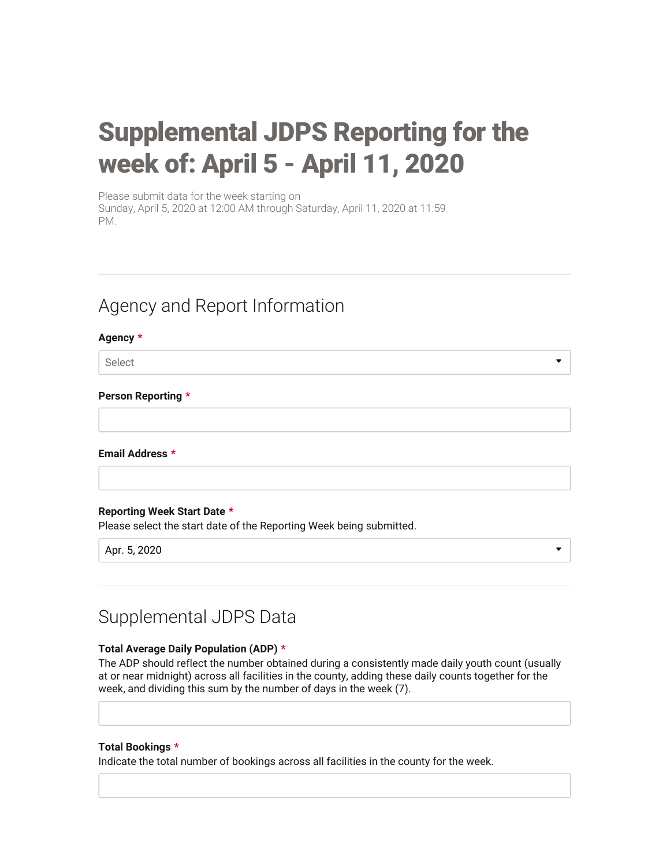# Supplemental JDPS Reporting for the week of: April 5 - April 11, 2020

 $\bullet$ 

Please submit data for the week starting on Sunday, April 5, 2020 at 12:00 AM through Saturday, April 11, 2020 at 11:59 PM.

# Agency and Report Information

## Agency \*

Select

## Person Reporting \*

Email Address \*

# Reporting Week Start Date \*

Please select the start date of the Reporting Week being submitted.

Apr. 5, 2020

# Supplemental JDPS Data

# Total Average Daily Population (ADP) \*

The ADP should reflect the number obtained during a consistently made daily youth count (usually at or near midnight) across all facilities in the county, adding these daily counts together for the week, and dividing this sum by the number of days in the week (7).

#### Total Bookings \*

Indicate the total number of bookings across all facilities in the county for the week.